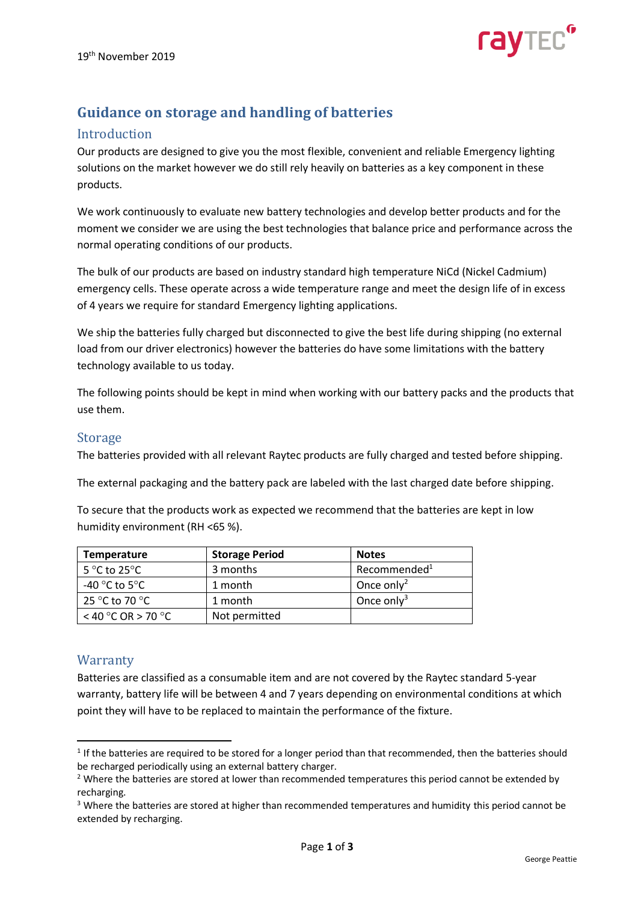

# **Guidance on storage and handling of batteries**

### Introduction

Our products are designed to give you the most flexible, convenient and reliable Emergency lighting solutions on the market however we do still rely heavily on batteries as a key component in these products.

We work continuously to evaluate new battery technologies and develop better products and for the moment we consider we are using the best technologies that balance price and performance across the normal operating conditions of our products.

The bulk of our products are based on industry standard high temperature NiCd (Nickel Cadmium) emergency cells. These operate across a wide temperature range and meet the design life of in excess of 4 years we require for standard Emergency lighting applications.

We ship the batteries fully charged but disconnected to give the best life during shipping (no external load from our driver electronics) however the batteries do have some limitations with the battery technology available to us today.

The following points should be kept in mind when working with our battery packs and the products that use them.

### Storage

The batteries provided with all relevant Raytec products are fully charged and tested before shipping.

The external packaging and the battery pack are labeled with the last charged date before shipping.

To secure that the products work as expected we recommend that the batteries are kept in low humidity environment (RH <65 %).

| <b>Temperature</b>                 | <b>Storage Period</b> | <b>Notes</b>             |
|------------------------------------|-----------------------|--------------------------|
| 5 °C to 25 °C                      | 3 months              | Recommended <sup>1</sup> |
| -40 $^{\circ}$ C to 5 $^{\circ}$ C | 1 month               | Once only <sup>2</sup>   |
| 25 °C to 70 °C                     | 1 month               | Once only <sup>3</sup>   |
| $<$ 40 °C OR > 70 °C               | Not permitted         |                          |

## **Warranty**

Batteries are classified as a consumable item and are not covered by the Raytec standard 5-year warranty, battery life will be between 4 and 7 years depending on environmental conditions at which point they will have to be replaced to maintain the performance of the fixture.

 $1$  If the batteries are required to be stored for a longer period than that recommended, then the batteries should be recharged periodically using an external battery charger.

<sup>&</sup>lt;sup>2</sup> Where the batteries are stored at lower than recommended temperatures this period cannot be extended by recharging.

 $3$  Where the batteries are stored at higher than recommended temperatures and humidity this period cannot be extended by recharging.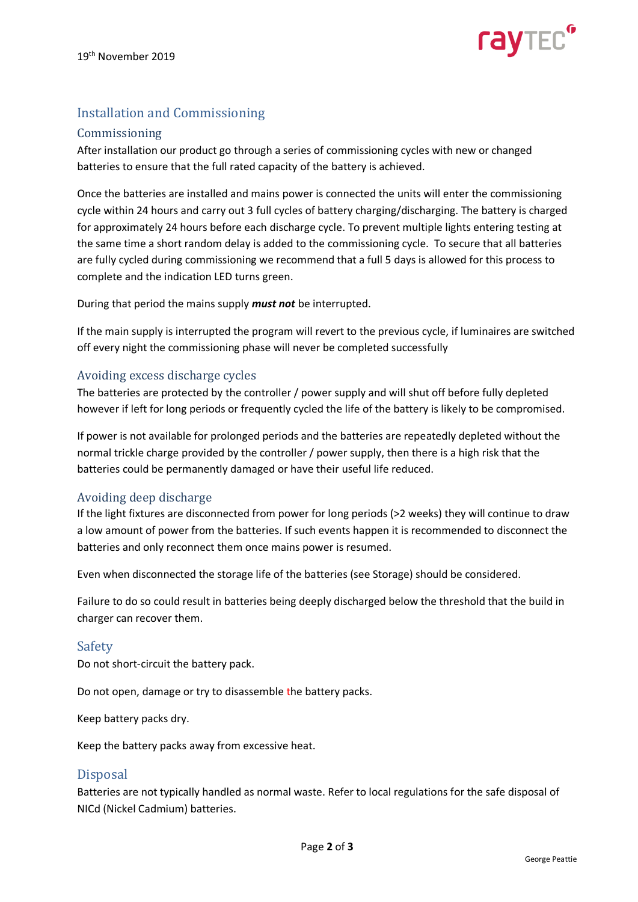

# Installation and Commissioning

#### Commissioning

After installation our product go through a series of commissioning cycles with new or changed batteries to ensure that the full rated capacity of the battery is achieved.

Once the batteries are installed and mains power is connected the units will enter the commissioning cycle within 24 hours and carry out 3 full cycles of battery charging/discharging. The battery is charged for approximately 24 hours before each discharge cycle. To prevent multiple lights entering testing at the same time a short random delay is added to the commissioning cycle. To secure that all batteries are fully cycled during commissioning we recommend that a full 5 days is allowed for this process to complete and the indication LED turns green.

During that period the mains supply *must not* be interrupted.

If the main supply is interrupted the program will revert to the previous cycle, if luminaires are switched off every night the commissioning phase will never be completed successfully

#### Avoiding excess discharge cycles

The batteries are protected by the controller / power supply and will shut off before fully depleted however if left for long periods or frequently cycled the life of the battery is likely to be compromised.

If power is not available for prolonged periods and the batteries are repeatedly depleted without the normal trickle charge provided by the controller / power supply, then there is a high risk that the batteries could be permanently damaged or have their useful life reduced.

#### Avoiding deep discharge

If the light fixtures are disconnected from power for long periods (>2 weeks) they will continue to draw a low amount of power from the batteries. If such events happen it is recommended to disconnect the batteries and only reconnect them once mains power is resumed.

Even when disconnected the storage life of the batteries (see Storage) should be considered.

Failure to do so could result in batteries being deeply discharged below the threshold that the build in charger can recover them.

#### Safety

Do not short-circuit the battery pack.

Do not open, damage or try to disassemble the battery packs.

Keep battery packs dry.

Keep the battery packs away from excessive heat.

#### Disposal

Batteries are not typically handled as normal waste. Refer to local regulations for the safe disposal of NICd (Nickel Cadmium) batteries.